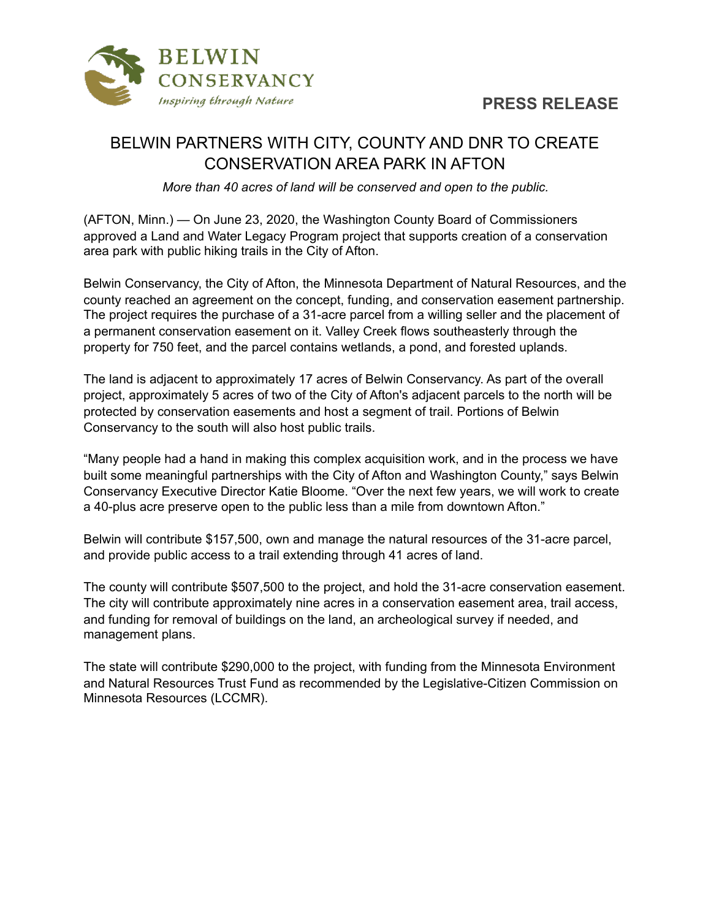

## **PRESS RELEASE**

## BELWIN PARTNERS WITH CITY, COUNTY AND DNR TO CREATE CONSERVATION AREA PARK IN AFTON

*More than 40 acres of land will be conserved and open to the public.*

(AFTON, Minn.) — On June 23, 2020, the Washington County Board of Commissioners approved a Land and Water Legacy Program project that supports creation of a conservation area park with public hiking trails in the City of Afton.

Belwin Conservancy, the City of Afton, the Minnesota Department of Natural Resources, and the county reached an agreement on the concept, funding, and conservation easement partnership. The project requires the purchase of a 31-acre parcel from a willing seller and the placement of a permanent conservation easement on it. Valley Creek flows southeasterly through the property for 750 feet, and the parcel contains wetlands, a pond, and forested uplands.

The land is adjacent to approximately 17 acres of Belwin Conservancy. As part of the overall project, approximately 5 acres of two of the City of Afton's adjacent parcels to the north will be protected by conservation easements and host a segment of trail. Portions of Belwin Conservancy to the south will also host public trails.

"Many people had a hand in making this complex acquisition work, and in the process we have built some meaningful partnerships with the City of Afton and Washington County," says Belwin Conservancy Executive Director Katie Bloome. "Over the next few years, we will work to create a 40-plus acre preserve open to the public less than a mile from downtown Afton."

Belwin will contribute \$157,500, own and manage the natural resources of the 31-acre parcel, and provide public access to a trail extending through 41 acres of land.

The county will contribute \$507,500 to the project, and hold the 31-acre conservation easement. The city will contribute approximately nine acres in a conservation easement area, trail access, and funding for removal of buildings on the land, an archeological survey if needed, and management plans.

The state will contribute \$290,000 to the project, with funding from the Minnesota Environment and Natural Resources Trust Fund as recommended by the Legislative-Citizen Commission on Minnesota Resources (LCCMR).